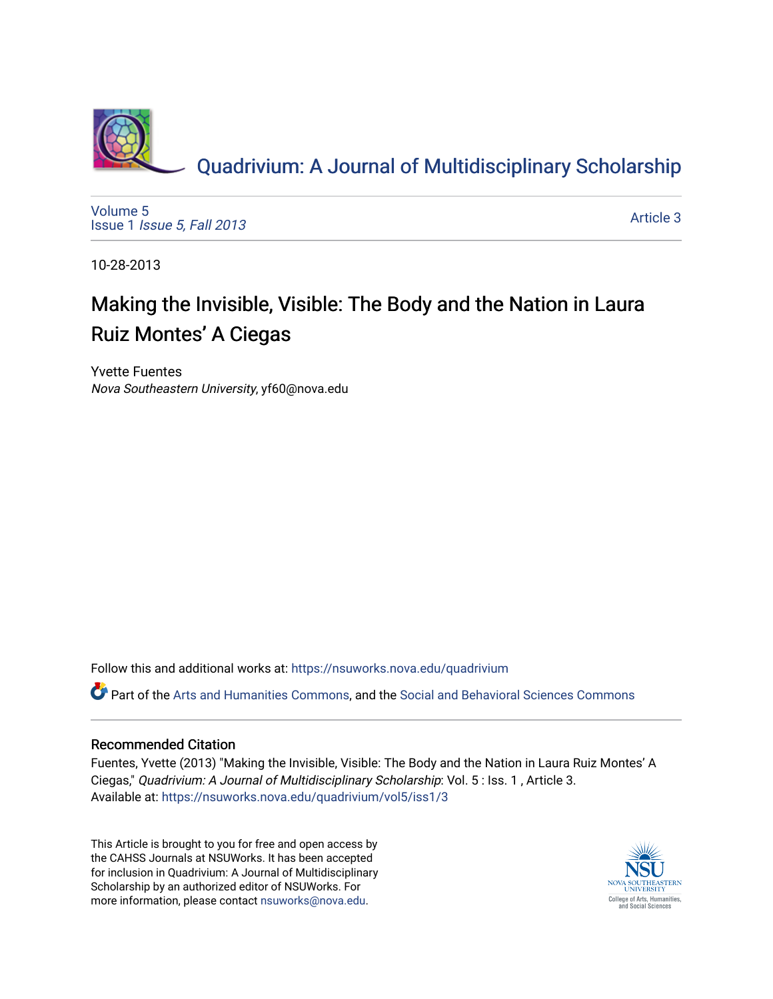

[Volume 5](https://nsuworks.nova.edu/quadrivium/vol5) Issue 1 [Issue 5, Fall 2013](https://nsuworks.nova.edu/quadrivium/vol5/iss1) 

[Article 3](https://nsuworks.nova.edu/quadrivium/vol5/iss1/3) 

10-28-2013

# Making the Invisible, Visible: The Body and the Nation in Laura Ruiz Montes' A Ciegas

Yvette Fuentes Nova Southeastern University, yf60@nova.edu

Follow this and additional works at: [https://nsuworks.nova.edu/quadrivium](https://nsuworks.nova.edu/quadrivium?utm_source=nsuworks.nova.edu%2Fquadrivium%2Fvol5%2Fiss1%2F3&utm_medium=PDF&utm_campaign=PDFCoverPages)

Part of the [Arts and Humanities Commons,](http://network.bepress.com/hgg/discipline/438?utm_source=nsuworks.nova.edu%2Fquadrivium%2Fvol5%2Fiss1%2F3&utm_medium=PDF&utm_campaign=PDFCoverPages) and the [Social and Behavioral Sciences Commons](http://network.bepress.com/hgg/discipline/316?utm_source=nsuworks.nova.edu%2Fquadrivium%2Fvol5%2Fiss1%2F3&utm_medium=PDF&utm_campaign=PDFCoverPages)

# Recommended Citation

Fuentes, Yvette (2013) "Making the Invisible, Visible: The Body and the Nation in Laura Ruiz Montes' A Ciegas," Quadrivium: A Journal of Multidisciplinary Scholarship: Vol. 5 : Iss. 1 , Article 3. Available at: [https://nsuworks.nova.edu/quadrivium/vol5/iss1/3](https://nsuworks.nova.edu/quadrivium/vol5/iss1/3?utm_source=nsuworks.nova.edu%2Fquadrivium%2Fvol5%2Fiss1%2F3&utm_medium=PDF&utm_campaign=PDFCoverPages)

This Article is brought to you for free and open access by the CAHSS Journals at NSUWorks. It has been accepted for inclusion in Quadrivium: A Journal of Multidisciplinary Scholarship by an authorized editor of NSUWorks. For more information, please contact [nsuworks@nova.edu.](mailto:nsuworks@nova.edu)

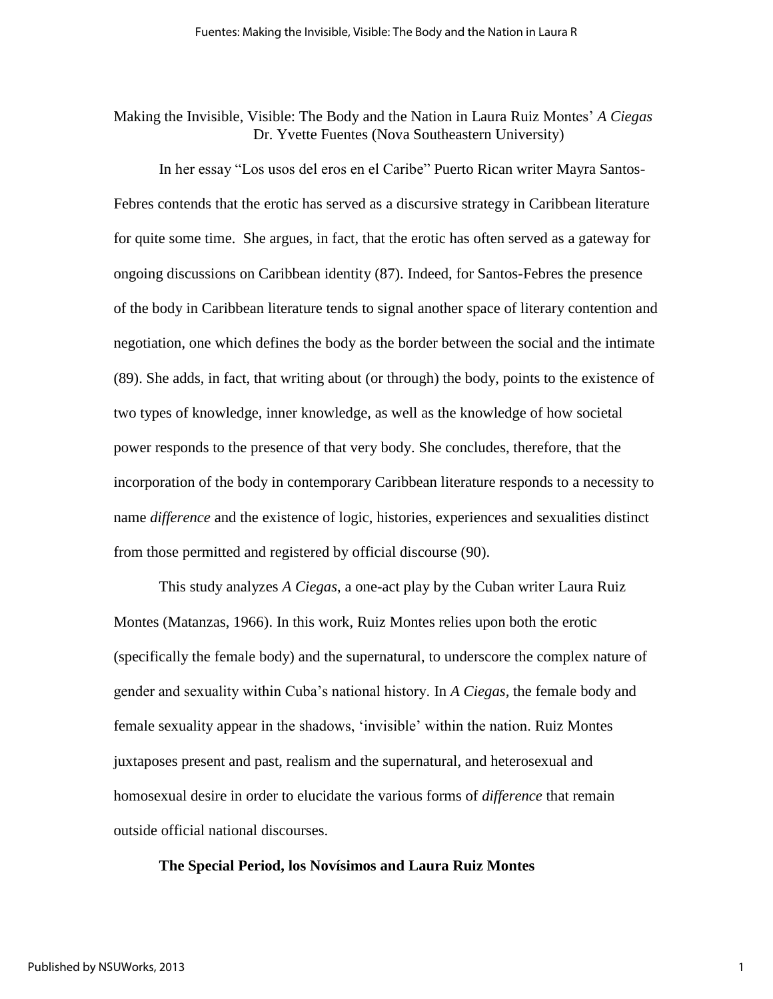Making the Invisible, Visible: The Body and the Nation in Laura Ruiz Montes' *A Ciegas* Dr. Yvette Fuentes (Nova Southeastern University)

In her essay "Los usos del eros en el Caribe" Puerto Rican writer Mayra Santos-Febres contends that the erotic has served as a discursive strategy in Caribbean literature for quite some time. She argues, in fact, that the erotic has often served as a gateway for ongoing discussions on Caribbean identity (87). Indeed, for Santos-Febres the presence of the body in Caribbean literature tends to signal another space of literary contention and negotiation, one which defines the body as the border between the social and the intimate (89). She adds, in fact, that writing about (or through) the body, points to the existence of two types of knowledge, inner knowledge, as well as the knowledge of how societal power responds to the presence of that very body. She concludes, therefore, that the incorporation of the body in contemporary Caribbean literature responds to a necessity to name *difference* and the existence of logic, histories, experiences and sexualities distinct from those permitted and registered by official discourse (90).

This study analyzes *A Ciegas*, a one-act play by the Cuban writer Laura Ruiz Montes (Matanzas, 1966). In this work, Ruiz Montes relies upon both the erotic (specifically the female body) and the supernatural, to underscore the complex nature of gender and sexuality within Cuba's national history. In *A Ciegas,* the female body and female sexuality appear in the shadows, 'invisible' within the nation. Ruiz Montes juxtaposes present and past, realism and the supernatural, and heterosexual and homosexual desire in order to elucidate the various forms of *difference* that remain outside official national discourses.

#### **The Special Period, los Novísimos and Laura Ruiz Montes**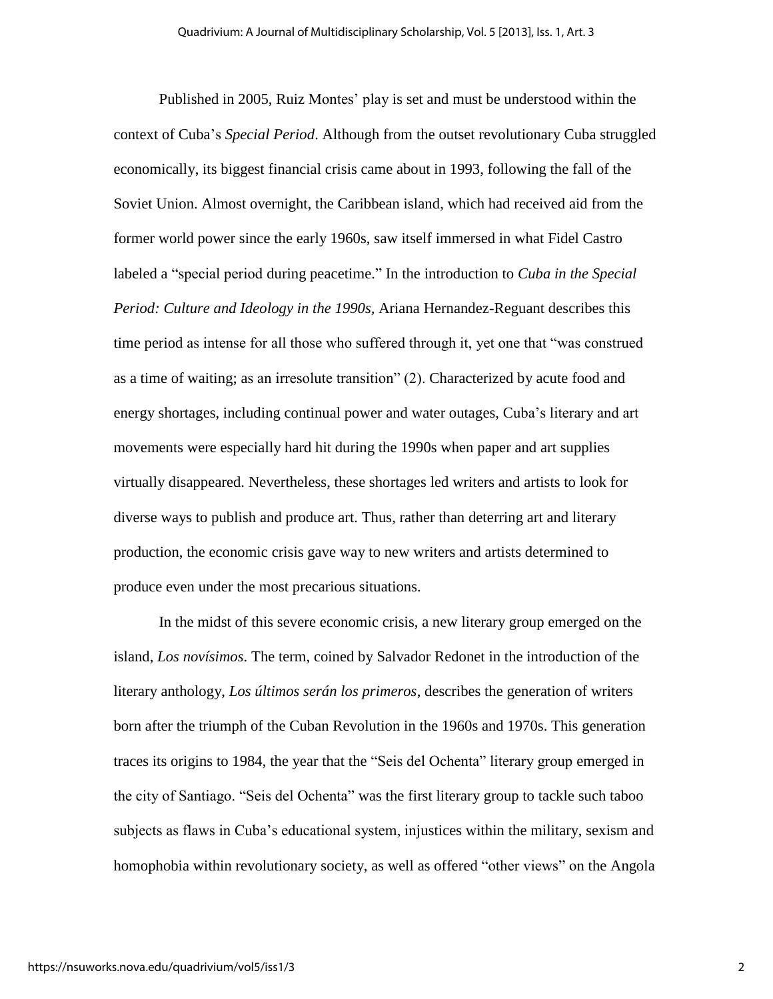Published in 2005, Ruiz Montes' play is set and must be understood within the context of Cuba's *Special Period*. Although from the outset revolutionary Cuba struggled economically, its biggest financial crisis came about in 1993, following the fall of the Soviet Union. Almost overnight, the Caribbean island, which had received aid from the former world power since the early 1960s, saw itself immersed in what Fidel Castro labeled a "special period during peacetime." In the introduction to *Cuba in the Special Period: Culture and Ideology in the 1990s,* Ariana Hernandez-Reguant describes this time period as intense for all those who suffered through it, yet one that "was construed as a time of waiting; as an irresolute transition" (2). Characterized by acute food and energy shortages, including continual power and water outages, Cuba's literary and art movements were especially hard hit during the 1990s when paper and art supplies virtually disappeared. Nevertheless, these shortages led writers and artists to look for diverse ways to publish and produce art. Thus, rather than deterring art and literary production, the economic crisis gave way to new writers and artists determined to produce even under the most precarious situations.

In the midst of this severe economic crisis, a new literary group emerged on the island, *Los novísimos*. The term, coined by Salvador Redonet in the introduction of the literary anthology, *Los últimos serán los primeros*, describes the generation of writers born after the triumph of the Cuban Revolution in the 1960s and 1970s. This generation traces its origins to 1984, the year that the "Seis del Ochenta" literary group emerged in the city of Santiago. "Seis del Ochenta" was the first literary group to tackle such taboo subjects as flaws in Cuba's educational system, injustices within the military, sexism and homophobia within revolutionary society, as well as offered "other views" on the Angola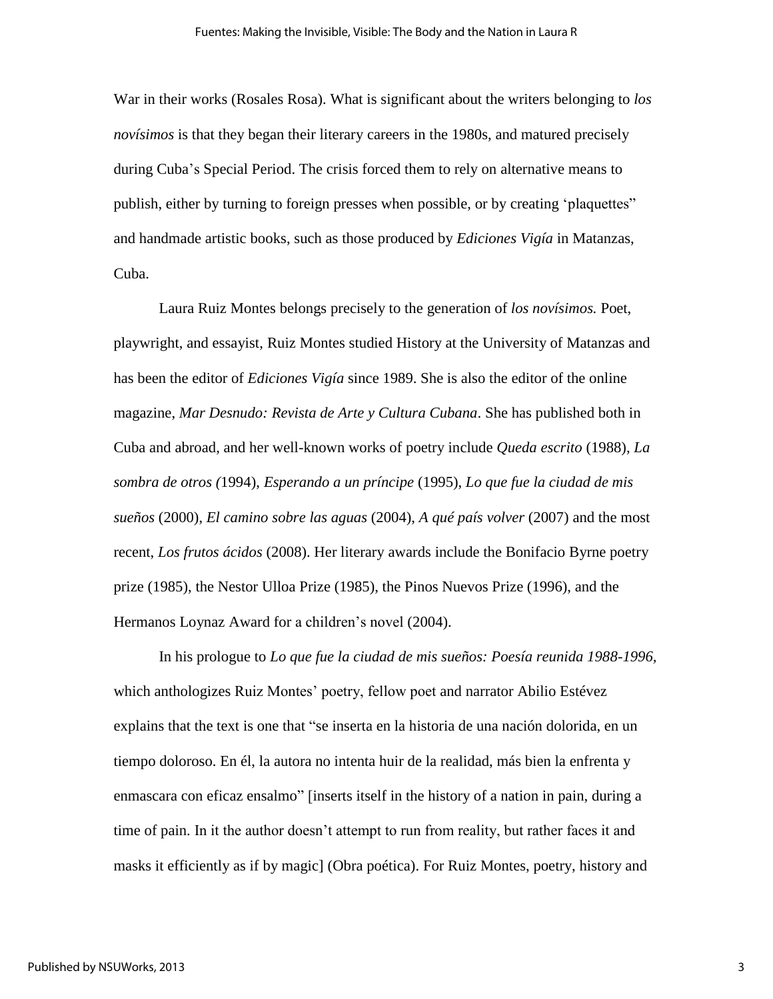War in their works (Rosales Rosa). What is significant about the writers belonging to *los novísimos* is that they began their literary careers in the 1980s, and matured precisely during Cuba's Special Period. The crisis forced them to rely on alternative means to publish, either by turning to foreign presses when possible, or by creating 'plaquettes" and handmade artistic books, such as those produced by *Ediciones Vigía* in Matanzas, Cuba.

Laura Ruiz Montes belongs precisely to the generation of *los novísimos.* Poet, playwright, and essayist, Ruiz Montes studied History at the University of Matanzas and has been the editor of *Ediciones Vigía* since 1989. She is also the editor of the online magazine, *Mar Desnudo: Revista de Arte y Cultura Cubana*. She has published both in Cuba and abroad, and her well-known works of poetry include *Queda escrito* (1988), *La sombra de otros (*1994), *Esperando a un príncipe* (1995), *Lo que fue la ciudad de mis sueños* (2000), *El camino sobre las aguas* (2004), *A qué país volver* (2007) and the most recent, *Los frutos ácidos* (2008). Her literary awards include the Bonifacio Byrne poetry prize (1985), the Nestor Ulloa Prize (1985), the Pinos Nuevos Prize (1996), and the Hermanos Loynaz Award for a children's novel (2004).

In his prologue to *Lo que fue la ciudad de mis sueños: Poesía reunida 1988-1996,* which anthologizes Ruiz Montes' poetry, fellow poet and narrator Abilio Estévez explains that the text is one that "se inserta en la historia de una nación dolorida, en un tiempo doloroso. En él, la autora no intenta huir de la realidad, más bien la enfrenta y enmascara con eficaz ensalmo" [inserts itself in the history of a nation in pain, during a time of pain. In it the author doesn't attempt to run from reality, but rather faces it and masks it efficiently as if by magic] (Obra poética). For Ruiz Montes, poetry, history and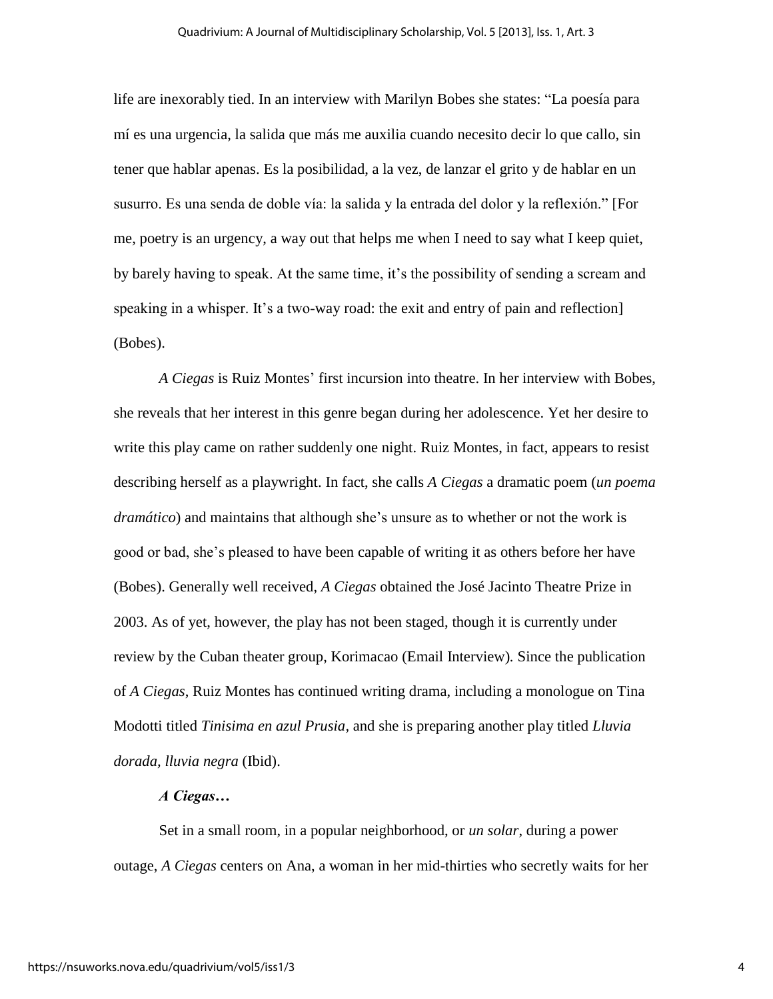life are inexorably tied. In an interview with Marilyn Bobes she states: "La poesía para mí es una urgencia, la salida que más me auxilia cuando necesito decir lo que callo, sin tener que hablar apenas. Es la posibilidad, a la vez, de lanzar el grito y de hablar en un susurro. Es una senda de doble vía: la salida y la entrada del dolor y la reflexión." [For me, poetry is an urgency, a way out that helps me when I need to say what I keep quiet, by barely having to speak. At the same time, it's the possibility of sending a scream and speaking in a whisper. It's a two-way road: the exit and entry of pain and reflection] (Bobes).

*A Ciegas* is Ruiz Montes' first incursion into theatre. In her interview with Bobes, she reveals that her interest in this genre began during her adolescence. Yet her desire to write this play came on rather suddenly one night. Ruiz Montes, in fact, appears to resist describing herself as a playwright. In fact, she calls *A Ciegas* a dramatic poem (*un poema dramático*) and maintains that although she's unsure as to whether or not the work is good or bad, she's pleased to have been capable of writing it as others before her have (Bobes). Generally well received, *A Ciegas* obtained the José Jacinto Theatre Prize in 2003. As of yet, however, the play has not been staged, though it is currently under review by the Cuban theater group, Korimacao (Email Interview)*.* Since the publication of *A Ciegas*, Ruiz Montes has continued writing drama, including a monologue on Tina Modotti titled *Tinisima en azul Prusia,* and she is preparing another play titled *Lluvia dorada, lluvia negra* (Ibid).

## *A Ciegas…*

Set in a small room, in a popular neighborhood, or *un solar*, during a power outage, *A Ciegas* centers on Ana, a woman in her mid-thirties who secretly waits for her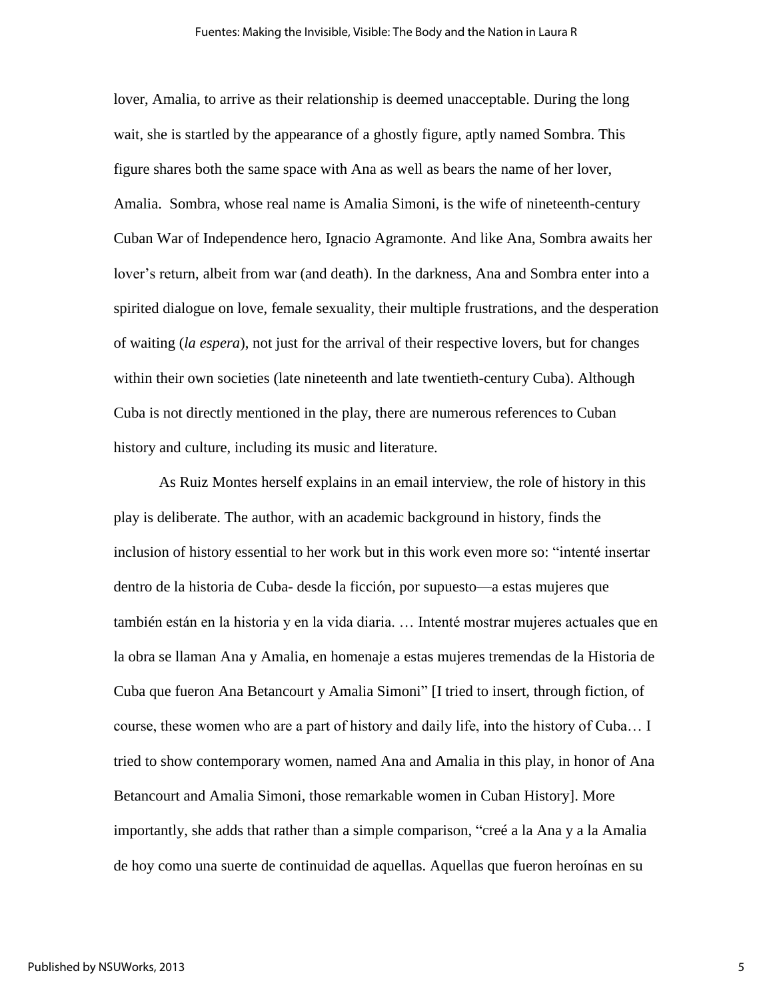lover, Amalia, to arrive as their relationship is deemed unacceptable. During the long wait, she is startled by the appearance of a ghostly figure, aptly named Sombra. This figure shares both the same space with Ana as well as bears the name of her lover, Amalia. Sombra, whose real name is Amalia Simoni, is the wife of nineteenth-century Cuban War of Independence hero, Ignacio Agramonte. And like Ana, Sombra awaits her lover's return, albeit from war (and death). In the darkness, Ana and Sombra enter into a spirited dialogue on love, female sexuality, their multiple frustrations, and the desperation of waiting (*la espera*), not just for the arrival of their respective lovers, but for changes within their own societies (late nineteenth and late twentieth-century Cuba). Although Cuba is not directly mentioned in the play, there are numerous references to Cuban history and culture, including its music and literature.

As Ruiz Montes herself explains in an email interview, the role of history in this play is deliberate. The author, with an academic background in history, finds the inclusion of history essential to her work but in this work even more so: "intenté insertar dentro de la historia de Cuba- desde la ficción, por supuesto—a estas mujeres que también están en la historia y en la vida diaria. … Intenté mostrar mujeres actuales que en la obra se llaman Ana y Amalia, en homenaje a estas mujeres tremendas de la Historia de Cuba que fueron Ana Betancourt y Amalia Simoni" [I tried to insert, through fiction, of course, these women who are a part of history and daily life, into the history of Cuba… I tried to show contemporary women, named Ana and Amalia in this play, in honor of Ana Betancourt and Amalia Simoni, those remarkable women in Cuban History]. More importantly, she adds that rather than a simple comparison, "creé a la Ana y a la Amalia de hoy como una suerte de continuidad de aquellas. Aquellas que fueron heroínas en su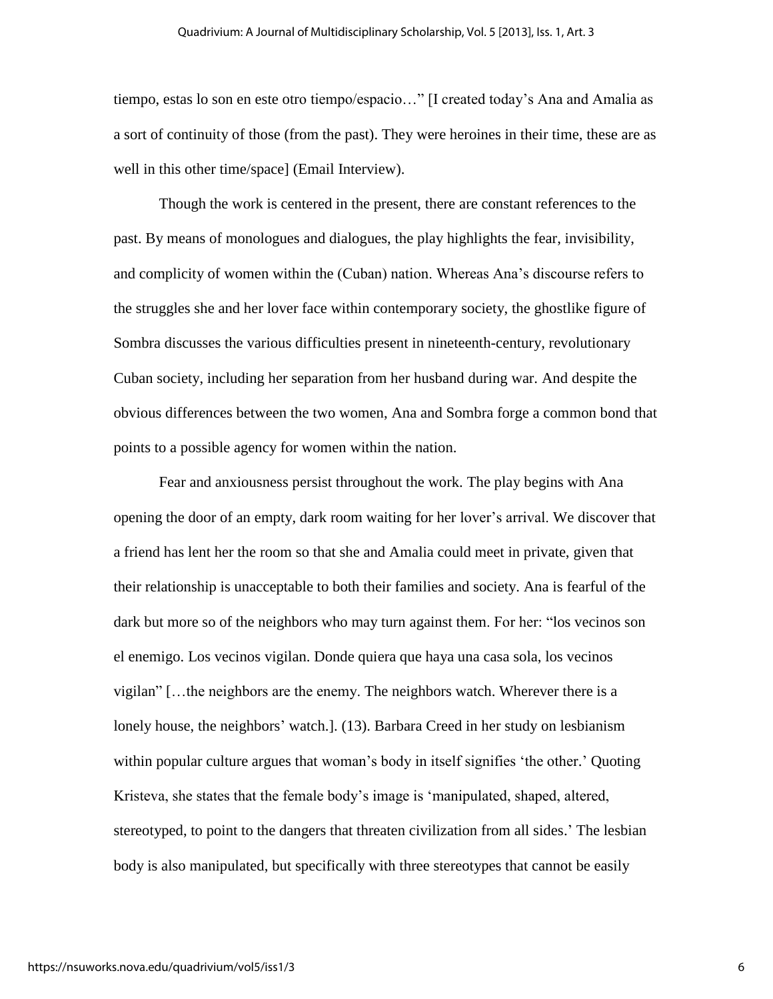tiempo, estas lo son en este otro tiempo/espacio…" [I created today's Ana and Amalia as a sort of continuity of those (from the past). They were heroines in their time, these are as well in this other time/space] (Email Interview).

Though the work is centered in the present, there are constant references to the past. By means of monologues and dialogues, the play highlights the fear, invisibility, and complicity of women within the (Cuban) nation. Whereas Ana's discourse refers to the struggles she and her lover face within contemporary society, the ghostlike figure of Sombra discusses the various difficulties present in nineteenth-century, revolutionary Cuban society, including her separation from her husband during war. And despite the obvious differences between the two women, Ana and Sombra forge a common bond that points to a possible agency for women within the nation.

Fear and anxiousness persist throughout the work. The play begins with Ana opening the door of an empty, dark room waiting for her lover's arrival. We discover that a friend has lent her the room so that she and Amalia could meet in private, given that their relationship is unacceptable to both their families and society. Ana is fearful of the dark but more so of the neighbors who may turn against them. For her: "los vecinos son el enemigo. Los vecinos vigilan. Donde quiera que haya una casa sola, los vecinos vigilan" […the neighbors are the enemy. The neighbors watch. Wherever there is a lonely house, the neighbors' watch.]. (13). Barbara Creed in her study on lesbianism within popular culture argues that woman's body in itself signifies 'the other.' Quoting Kristeva, she states that the female body's image is 'manipulated, shaped, altered, stereotyped, to point to the dangers that threaten civilization from all sides.' The lesbian body is also manipulated, but specifically with three stereotypes that cannot be easily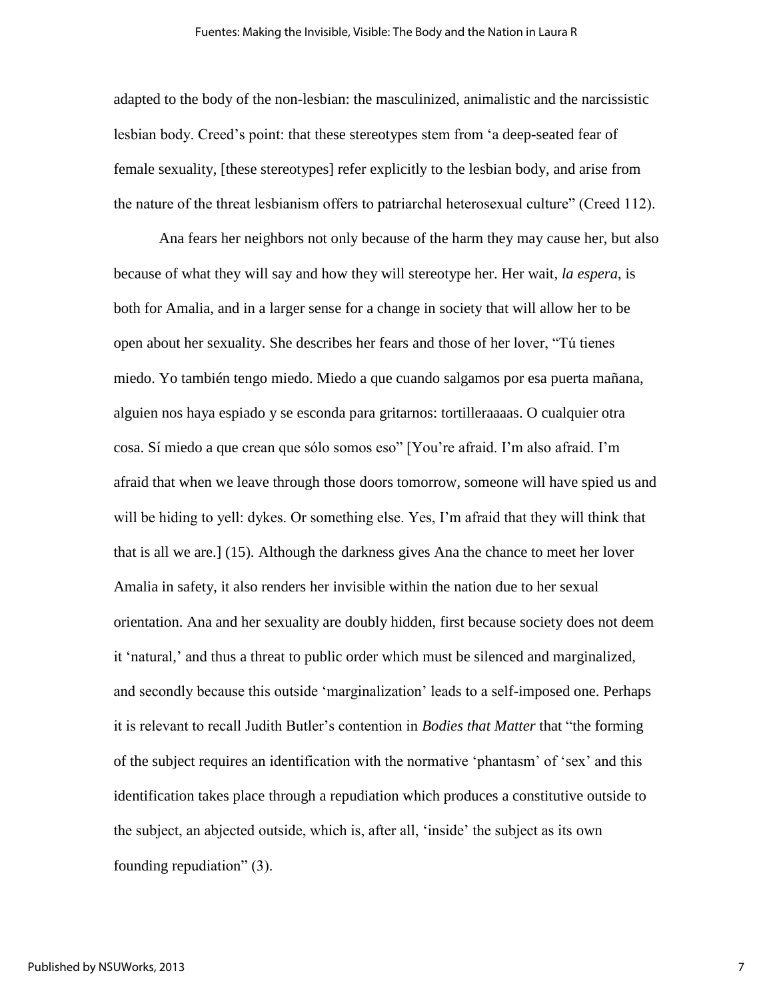adapted to the body of the non-lesbian: the masculinized, animalistic and the narcissistic lesbian body. Creed's point: that these stereotypes stem from 'a deep-seated fear of female sexuality, [these stereotypes] refer explicitly to the lesbian body, and arise from the nature of the threat lesbianism offers to patriarchal heterosexual culture" (Creed 112).

Ana fears her neighbors not only because of the harm they may cause her, but also because of what they will say and how they will stereotype her. Her wait*, la espera*, is both for Amalia, and in a larger sense for a change in society that will allow her to be open about her sexuality. She describes her fears and those of her lover, "Tú tienes miedo. Yo también tengo miedo. Miedo a que cuando salgamos por esa puerta mañana, alguien nos haya espiado y se esconda para gritarnos: tortilleraaaas. O cualquier otra cosa. Sí miedo a que crean que sólo somos eso" [You're afraid. I'm also afraid. I'm afraid that when we leave through those doors tomorrow, someone will have spied us and will be hiding to yell: dykes. Or something else. Yes, I'm afraid that they will think that that is all we are.] (15). Although the darkness gives Ana the chance to meet her lover Amalia in safety, it also renders her invisible within the nation due to her sexual orientation. Ana and her sexuality are doubly hidden, first because society does not deem it 'natural,' and thus a threat to public order which must be silenced and marginalized, and secondly because this outside 'marginalization' leads to a self-imposed one. Perhaps it is relevant to recall Judith Butler's contention in *Bodies that Matter* that "the forming of the subject requires an identification with the normative 'phantasm' of 'sex' and this identification takes place through a repudiation which produces a constitutive outside to the subject, an abjected outside, which is, after all, 'inside' the subject as its own founding repudiation" (3).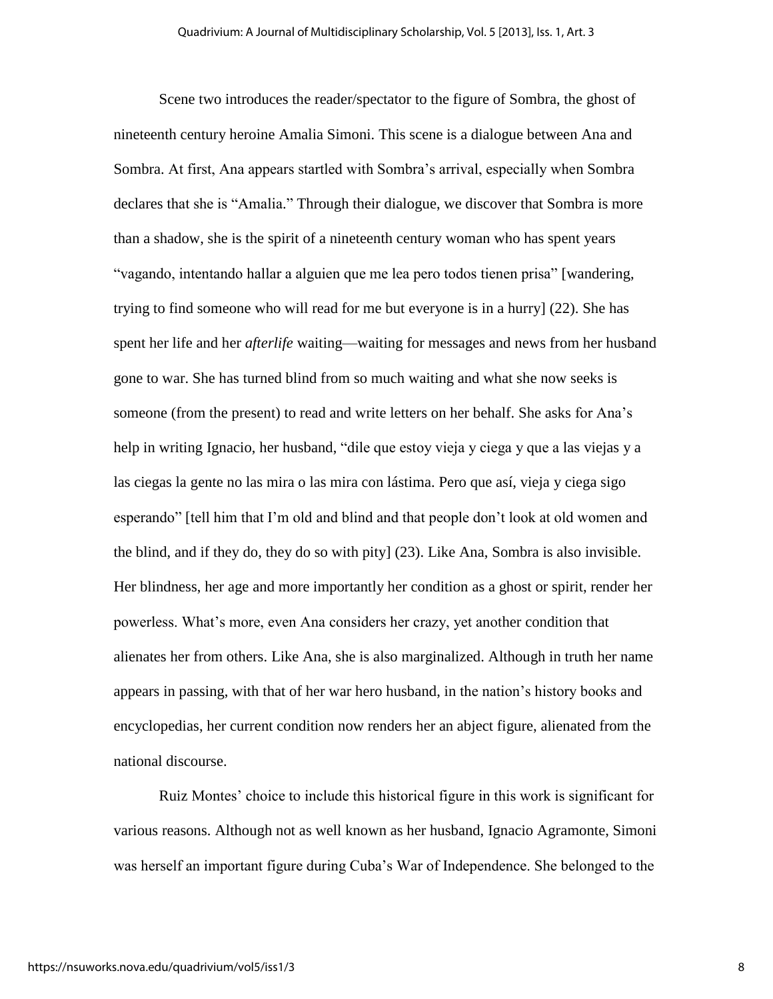Scene two introduces the reader/spectator to the figure of Sombra, the ghost of nineteenth century heroine Amalia Simoni. This scene is a dialogue between Ana and Sombra. At first, Ana appears startled with Sombra's arrival, especially when Sombra declares that she is "Amalia." Through their dialogue, we discover that Sombra is more than a shadow, she is the spirit of a nineteenth century woman who has spent years "vagando, intentando hallar a alguien que me lea pero todos tienen prisa" [wandering, trying to find someone who will read for me but everyone is in a hurry] (22). She has spent her life and her *afterlife* waiting—waiting for messages and news from her husband gone to war. She has turned blind from so much waiting and what she now seeks is someone (from the present) to read and write letters on her behalf. She asks for Ana's help in writing Ignacio, her husband, "dile que estoy vieja y ciega y que a las viejas y a las ciegas la gente no las mira o las mira con lástima. Pero que así, vieja y ciega sigo esperando" [tell him that I'm old and blind and that people don't look at old women and the blind, and if they do, they do so with pity] (23). Like Ana, Sombra is also invisible. Her blindness, her age and more importantly her condition as a ghost or spirit, render her powerless. What's more, even Ana considers her crazy, yet another condition that alienates her from others. Like Ana, she is also marginalized. Although in truth her name appears in passing, with that of her war hero husband, in the nation's history books and encyclopedias, her current condition now renders her an abject figure, alienated from the national discourse.

Ruiz Montes' choice to include this historical figure in this work is significant for various reasons. Although not as well known as her husband, Ignacio Agramonte, Simoni was herself an important figure during Cuba's War of Independence. She belonged to the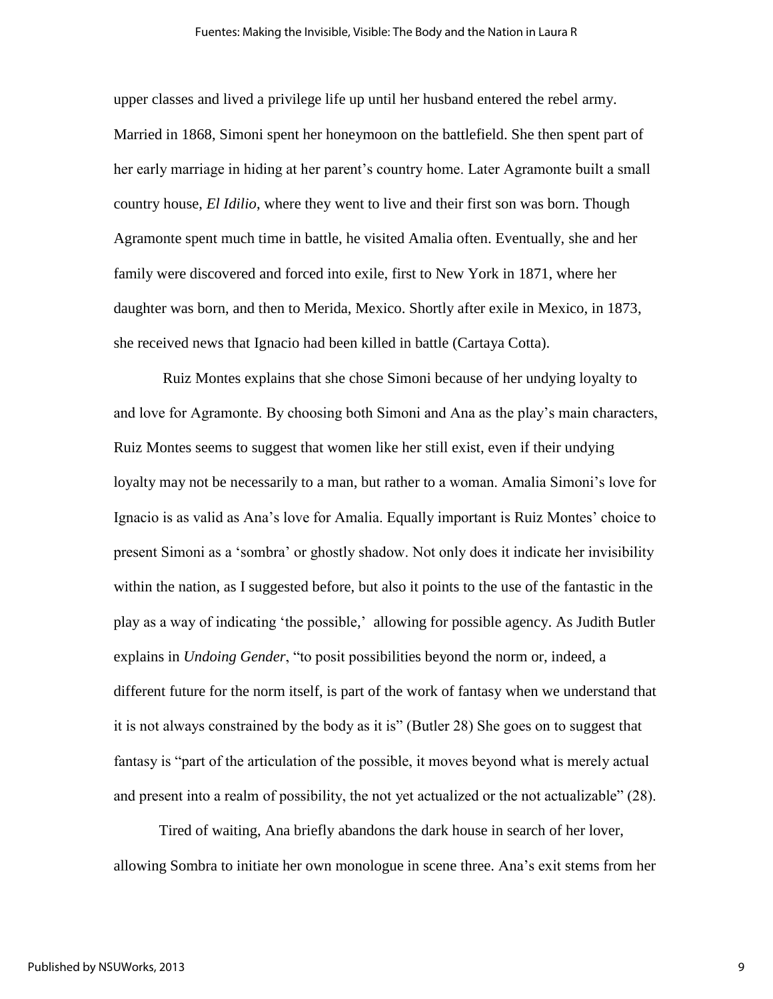upper classes and lived a privilege life up until her husband entered the rebel army. Married in 1868, Simoni spent her honeymoon on the battlefield. She then spent part of her early marriage in hiding at her parent's country home. Later Agramonte built a small country house, *El Idilio*, where they went to live and their first son was born. Though Agramonte spent much time in battle, he visited Amalia often. Eventually, she and her family were discovered and forced into exile, first to New York in 1871, where her daughter was born, and then to Merida, Mexico. Shortly after exile in Mexico, in 1873, she received news that Ignacio had been killed in battle (Cartaya Cotta).

Ruiz Montes explains that she chose Simoni because of her undying loyalty to and love for Agramonte. By choosing both Simoni and Ana as the play's main characters, Ruiz Montes seems to suggest that women like her still exist, even if their undying loyalty may not be necessarily to a man, but rather to a woman. Amalia Simoni's love for Ignacio is as valid as Ana's love for Amalia. Equally important is Ruiz Montes' choice to present Simoni as a 'sombra' or ghostly shadow. Not only does it indicate her invisibility within the nation, as I suggested before, but also it points to the use of the fantastic in the play as a way of indicating 'the possible,' allowing for possible agency. As Judith Butler explains in *Undoing Gender*, "to posit possibilities beyond the norm or, indeed, a different future for the norm itself, is part of the work of fantasy when we understand that it is not always constrained by the body as it is" (Butler 28) She goes on to suggest that fantasy is "part of the articulation of the possible, it moves beyond what is merely actual and present into a realm of possibility, the not yet actualized or the not actualizable" (28).

Tired of waiting, Ana briefly abandons the dark house in search of her lover, allowing Sombra to initiate her own monologue in scene three. Ana's exit stems from her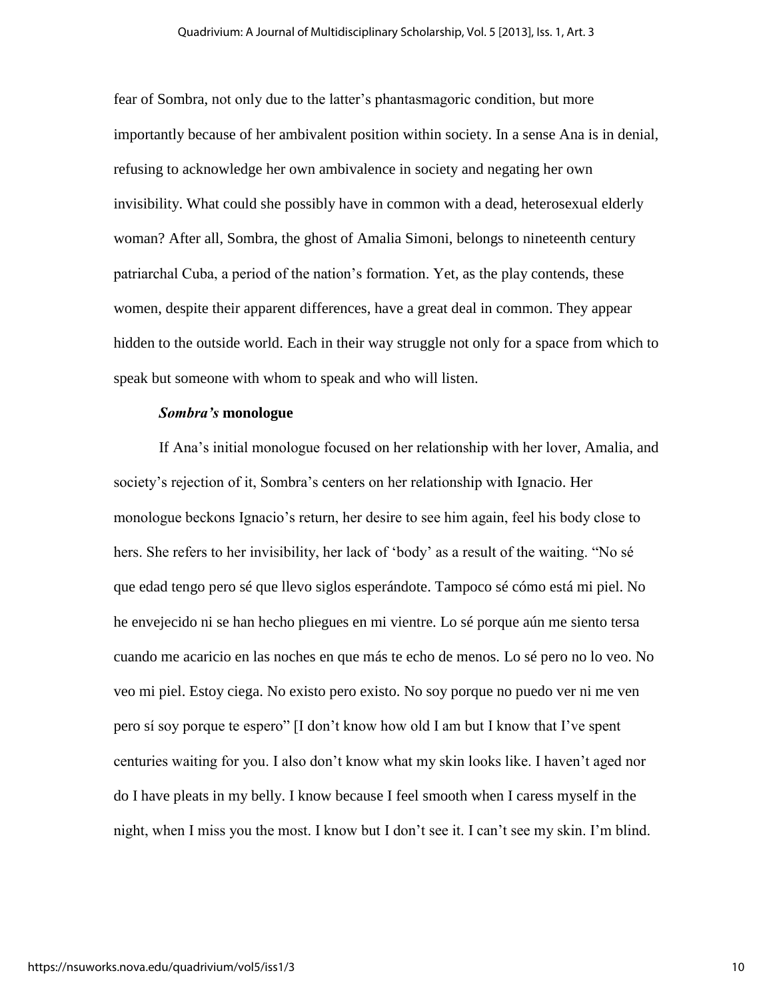fear of Sombra, not only due to the latter's phantasmagoric condition, but more importantly because of her ambivalent position within society. In a sense Ana is in denial, refusing to acknowledge her own ambivalence in society and negating her own invisibility. What could she possibly have in common with a dead, heterosexual elderly woman? After all, Sombra, the ghost of Amalia Simoni, belongs to nineteenth century patriarchal Cuba, a period of the nation's formation. Yet, as the play contends, these women, despite their apparent differences, have a great deal in common. They appear hidden to the outside world. Each in their way struggle not only for a space from which to speak but someone with whom to speak and who will listen.

#### *Sombra's* **monologue**

If Ana's initial monologue focused on her relationship with her lover, Amalia, and society's rejection of it, Sombra's centers on her relationship with Ignacio. Her monologue beckons Ignacio's return, her desire to see him again, feel his body close to hers. She refers to her invisibility, her lack of 'body' as a result of the waiting. "No sé que edad tengo pero sé que llevo siglos esperándote. Tampoco sé cómo está mi piel. No he envejecido ni se han hecho pliegues en mi vientre. Lo sé porque aún me siento tersa cuando me acaricio en las noches en que más te echo de menos. Lo sé pero no lo veo. No veo mi piel. Estoy ciega. No existo pero existo. No soy porque no puedo ver ni me ven pero sí soy porque te espero" [I don't know how old I am but I know that I've spent centuries waiting for you. I also don't know what my skin looks like. I haven't aged nor do I have pleats in my belly. I know because I feel smooth when I caress myself in the night, when I miss you the most. I know but I don't see it. I can't see my skin. I'm blind.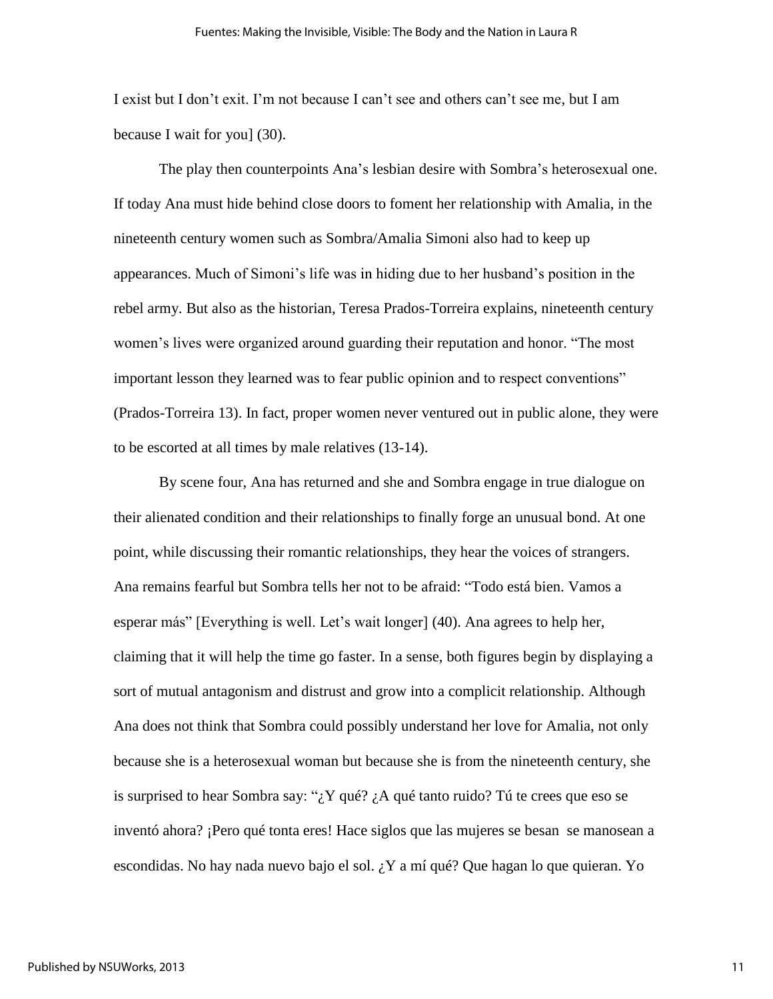I exist but I don't exit. I'm not because I can't see and others can't see me, but I am because I wait for you] (30).

The play then counterpoints Ana's lesbian desire with Sombra's heterosexual one. If today Ana must hide behind close doors to foment her relationship with Amalia, in the nineteenth century women such as Sombra/Amalia Simoni also had to keep up appearances. Much of Simoni's life was in hiding due to her husband's position in the rebel army. But also as the historian, Teresa Prados-Torreira explains, nineteenth century women's lives were organized around guarding their reputation and honor. "The most important lesson they learned was to fear public opinion and to respect conventions" (Prados-Torreira 13). In fact, proper women never ventured out in public alone, they were to be escorted at all times by male relatives (13-14).

By scene four, Ana has returned and she and Sombra engage in true dialogue on their alienated condition and their relationships to finally forge an unusual bond. At one point, while discussing their romantic relationships, they hear the voices of strangers. Ana remains fearful but Sombra tells her not to be afraid: "Todo está bien. Vamos a esperar más" [Everything is well. Let's wait longer] (40). Ana agrees to help her, claiming that it will help the time go faster. In a sense, both figures begin by displaying a sort of mutual antagonism and distrust and grow into a complicit relationship. Although Ana does not think that Sombra could possibly understand her love for Amalia, not only because she is a heterosexual woman but because she is from the nineteenth century, she is surprised to hear Sombra say: " $\chi Y$  qué?  $\chi A$  qué tanto ruido? Tú te crees que eso se inventó ahora? ¡Pero qué tonta eres! Hace siglos que las mujeres se besan se manosean a escondidas. No hay nada nuevo bajo el sol. ¿Y a mí qué? Que hagan lo que quieran. Yo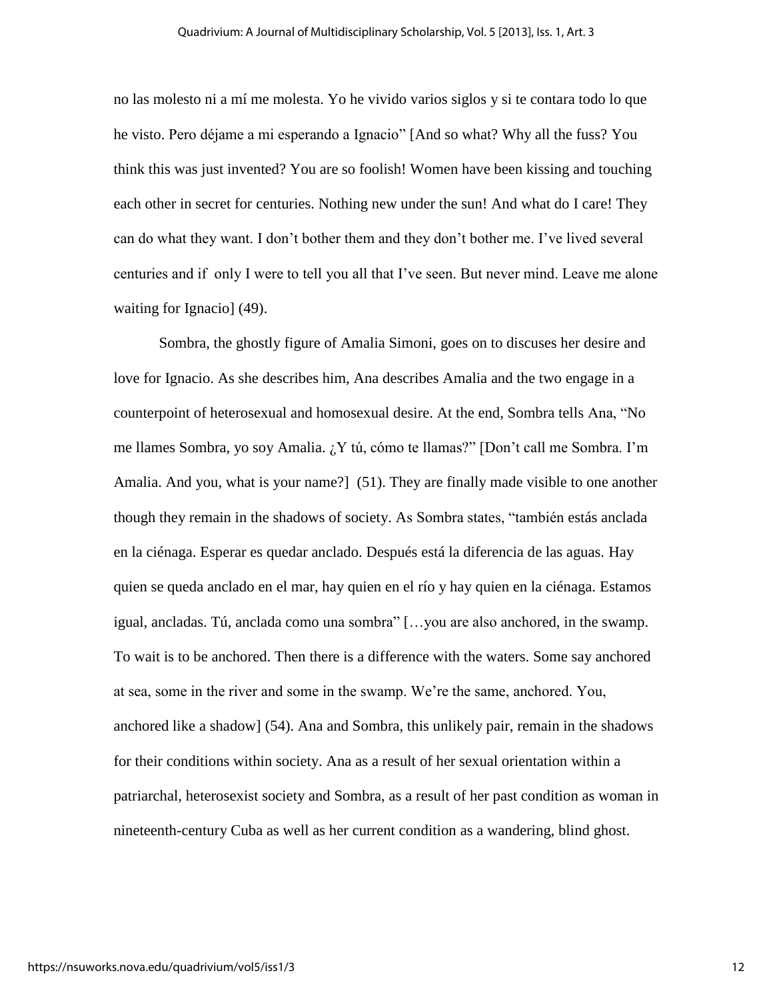no las molesto ni a mí me molesta. Yo he vivido varios siglos y si te contara todo lo que he visto. Pero déjame a mi esperando a Ignacio" [And so what? Why all the fuss? You think this was just invented? You are so foolish! Women have been kissing and touching each other in secret for centuries. Nothing new under the sun! And what do I care! They can do what they want. I don't bother them and they don't bother me. I've lived several centuries and if only I were to tell you all that I've seen. But never mind. Leave me alone waiting for Ignacio] (49).

Sombra, the ghostly figure of Amalia Simoni, goes on to discuses her desire and love for Ignacio. As she describes him, Ana describes Amalia and the two engage in a counterpoint of heterosexual and homosexual desire. At the end, Sombra tells Ana, "No me llames Sombra, yo soy Amalia. ¿Y tú, cómo te llamas?" [Don't call me Sombra. I'm Amalia. And you, what is your name?] (51). They are finally made visible to one another though they remain in the shadows of society. As Sombra states, "también estás anclada en la ciénaga. Esperar es quedar anclado. Después está la diferencia de las aguas. Hay quien se queda anclado en el mar, hay quien en el río y hay quien en la ciénaga. Estamos igual, ancladas. Tú, anclada como una sombra" […you are also anchored, in the swamp. To wait is to be anchored. Then there is a difference with the waters. Some say anchored at sea, some in the river and some in the swamp. We're the same, anchored. You, anchored like a shadow] (54). Ana and Sombra, this unlikely pair, remain in the shadows for their conditions within society. Ana as a result of her sexual orientation within a patriarchal, heterosexist society and Sombra, as a result of her past condition as woman in nineteenth-century Cuba as well as her current condition as a wandering, blind ghost.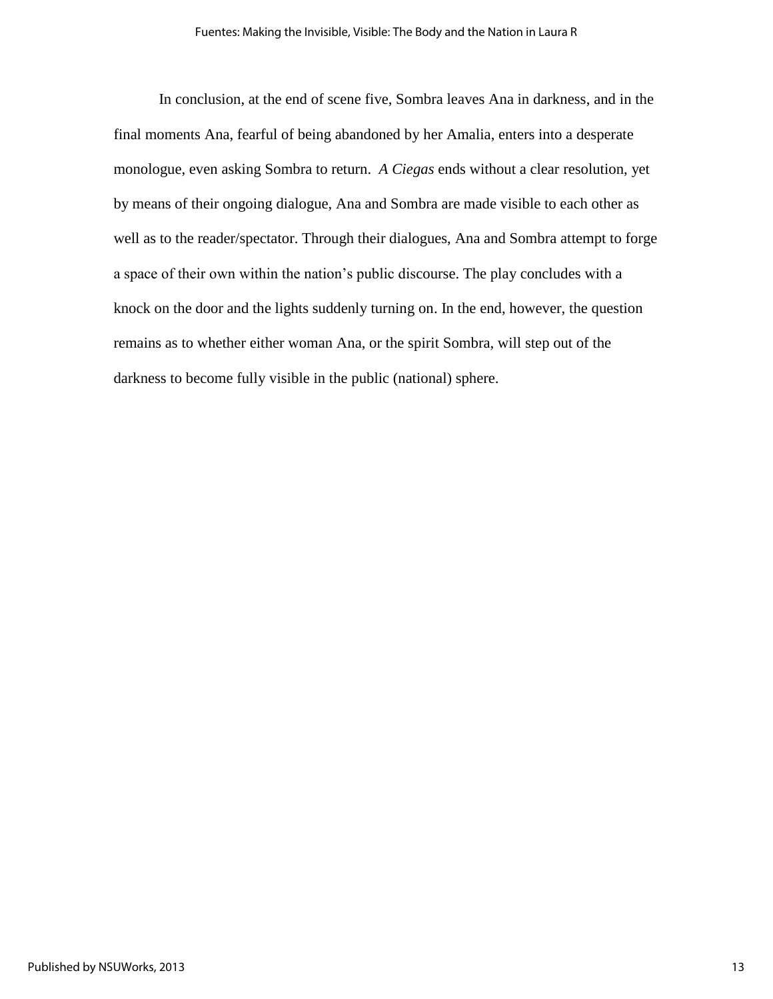In conclusion, at the end of scene five, Sombra leaves Ana in darkness, and in the final moments Ana, fearful of being abandoned by her Amalia, enters into a desperate monologue, even asking Sombra to return. *A Ciegas* ends without a clear resolution, yet by means of their ongoing dialogue, Ana and Sombra are made visible to each other as well as to the reader/spectator. Through their dialogues, Ana and Sombra attempt to forge a space of their own within the nation's public discourse. The play concludes with a knock on the door and the lights suddenly turning on. In the end, however, the question remains as to whether either woman Ana, or the spirit Sombra, will step out of the darkness to become fully visible in the public (national) sphere.